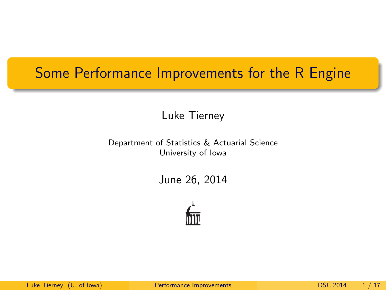## Some Performance Improvements for the R Engine

Luke Tierney

Department of Statistics & Actuarial Science University of Iowa

June 26, 2014

<span id="page-0-0"></span>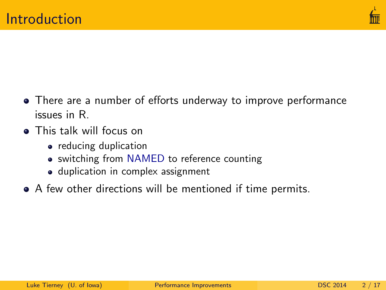

- There are a number of efforts underway to improve performance issues in R.
- **o** This talk will focus on
	- reducing duplication
	- switching from NAMED to reference counting
	- duplication in complex assignment
- A few other directions will be mentioned if time permits.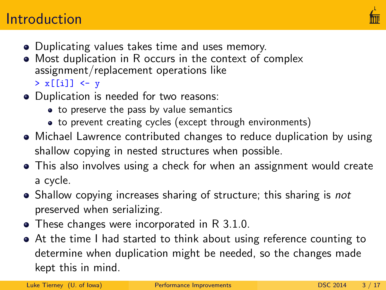# **Introduction**



- Duplicating values takes time and uses memory.
- Most duplication in R occurs in the context of complex assignment/replacement operations like
	- $> x[[i]] < -y$
- Duplication is needed for two reasons:
	- to preserve the pass by value semantics
	- to prevent creating cycles (except through environments)
- Michael Lawrence contributed changes to reduce duplication by using shallow copying in nested structures when possible.
- This also involves using a check for when an assignment would create a cycle.
- Shallow copying increases sharing of structure; this sharing is *not* preserved when serializing.
- These changes were incorporated in R 3.1.0.
- At the time I had started to think about using reference counting to determine when duplication might be needed, so the changes made kept this in mind.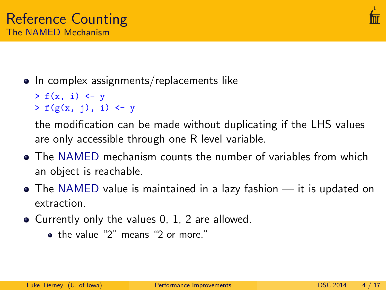

- In complex assignments/replacements like
	- $> f(x, i)$   $\leftarrow$  y  $> f(g(x, j), i)$  <- y

the modification can be made without duplicating if the LHS values are only accessible through one R level variable.

- The NAMED mechanism counts the number of variables from which an object is reachable.
- The NAMED value is maintained in a lazy fashion it is updated on extraction.
- Currently only the values 0, 1, 2 are allowed.
	- the value "2" means "2 or more."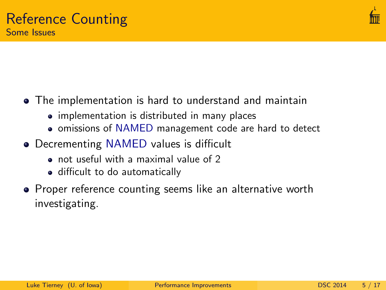

- The implementation is hard to understand and maintain
	- implementation is distributed in many places
	- omissions of NAMED management code are hard to detect
- Decrementing NAMED values is difficult
	- not useful with a maximal value of 2
	- difficult to do automatically
- **•** Proper reference counting seems like an alternative worth investigating.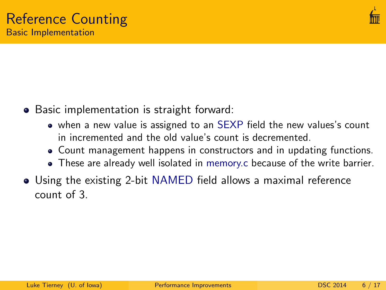

- Basic implementation is straight forward:
	- when a new value is assigned to an SEXP field the new values's count in incremented and the old value's count is decremented.
	- Count management happens in constructors and in updating functions.
	- These are already well isolated in memory.c because of the write barrier.
- Using the existing 2-bit NAMED field allows a maximal reference count of 3.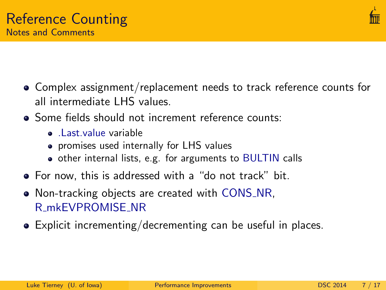

- Complex assignment/replacement needs to track reference counts for all intermediate LHS values.
- Some fields should not increment reference counts:
	- .Last.value variable
	- promises used internally for LHS values
	- other internal lists, e.g. for arguments to BULTIN calls
- For now, this is addressed with a "do not track" bit.
- Non-tracking objects are created with CONS\_NR. R mkEVPROMISE NR
- Explicit incrementing/decrementing can be useful in places.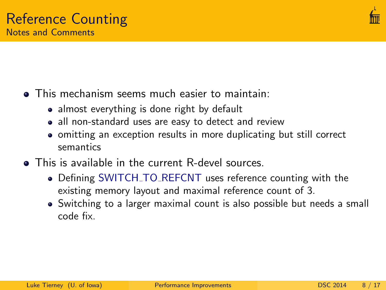

- **•** This mechanism seems much easier to maintain:
	- almost everything is done right by default
	- all non-standard uses are easy to detect and review
	- omitting an exception results in more duplicating but still correct semantics
- **•** This is available in the current R-devel sources.
	- Defining SWITCH\_TO\_REFCNT uses reference counting with the existing memory layout and maximal reference count of 3.
	- Switching to a larger maximal count is also possible but needs a small code fix.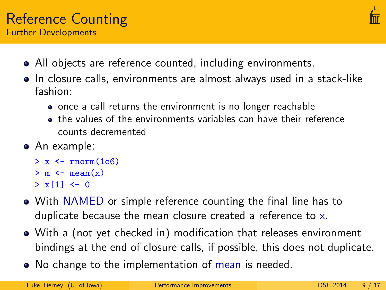

- All objects are reference counted, including environments.
- In closure calls, environments are almost always used in a stack-like fashion:
	- once a call returns the environment is no longer reachable
	- the values of the environments variables can have their reference counts decremented
- An example:
	- $> x < -rnorm(1e6)$
	- $> m < -$  mean $(x)$
	- $> x[1] < -0$
- With NAMED or simple reference counting the final line has to duplicate because the mean closure created a reference to x.
- With a (not yet checked in) modification that releases environment bindings at the end of closure calls, if possible, this does not duplicate.
- No change to the implementation of mean is needed.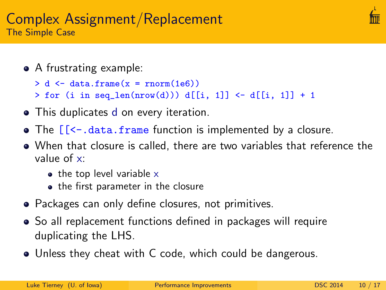### Complex Assignment/Replacement The Simple Case

- A frustrating example:
	- $> d \leq$  data frame(x = rnorm(1e6))
	- $>$  for (i in seq\_len(nrow(d))) d[[i, 1]] <- d[[i, 1]] + 1
- This duplicates d on every iteration.
- The  $[$ [<-.data.frame function is implemented by a closure.
- When that closure is called, there are two variables that reference the value of x:
	- $\bullet$  the top level variable x
	- the first parameter in the closure
- Packages can only define closures, not primitives.
- So all replacement functions defined in packages will require duplicating the LHS.
- Unless they cheat with C code, which could be dangerous.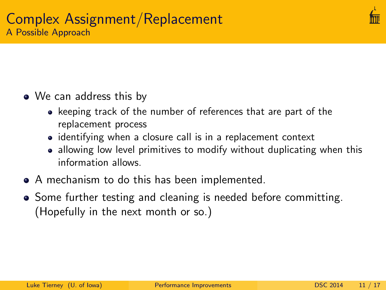

## • We can address this by

- keeping track of the number of references that are part of the replacement process
- identifying when a closure call is in a replacement context
- allowing low level primitives to modify without duplicating when this information allows.
- A mechanism to do this has been implemented.
- Some further testing and cleaning is needed before committing. (Hopefully in the next month or so.)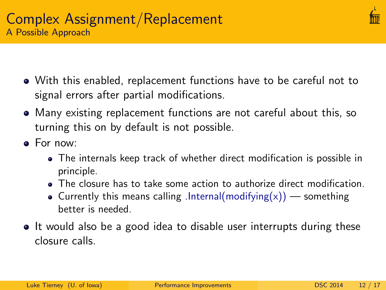

- With this enabled, replacement functions have to be careful not to signal errors after partial modifications.
- Many existing replacement functions are not careful about this, so turning this on by default is not possible.
- For now:
	- The internals keep track of whether direct modification is possible in principle.
	- The closure has to take some action to authorize direct modification.
	- Currently this means calling .Internal(modifying(x)) something better is needed.
- It would also be a good idea to disable user interrupts during these closure calls.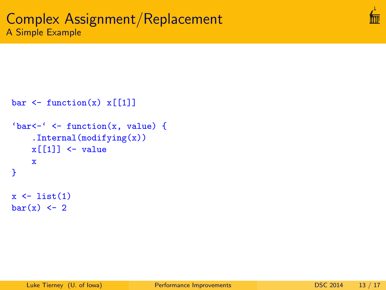```
bar \leq function(x) x[[1]]
'bar \leftarrow' \leftarrow function(x, value) {
     .Internal(modifying(x))
     x[[1]] <- value
     x
}
x \leftarrow list(1)
bar(x) <- 2
```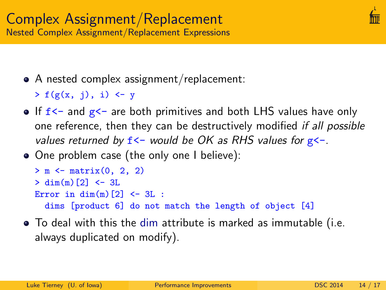- A nested complex assignment/replacement:
	- $> f(g(x, i), i)$  <- y
- $\bullet$  If  $f$  <- and  $g$  <- are both primitives and both LHS values have only one reference, then they can be destructively modified if all possible values returned by  $f$ <- would be OK as RHS values for  $g$ <-.
- One problem case (the only one I believe):

```
> m < - matrix(0, 2, 2)
> dim(m)[2] < -3LError in dim(m)[2] <- 3L :
 dims [product 6] do not match the length of object [4]
```
To deal with this the dim attribute is marked as immutable (i.e. always duplicated on modify).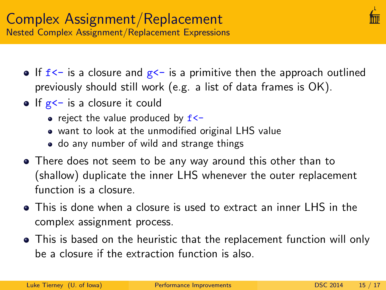- If  $f \leftarrow$  is a closure and  $g \leftarrow$  is a primitive then the approach outlined previously should still work (e.g. a list of data frames is OK).
- $\bullet$  If  $g$ <- is a closure it could
	- reject the value produced by  $f$  <-
	- want to look at the unmodified original LHS value
	- do any number of wild and strange things
- There does not seem to be any way around this other than to (shallow) duplicate the inner LHS whenever the outer replacement function is a closure.
- This is done when a closure is used to extract an inner LHS in the complex assignment process.
- This is based on the heuristic that the replacement function will only be a closure if the extraction function is also.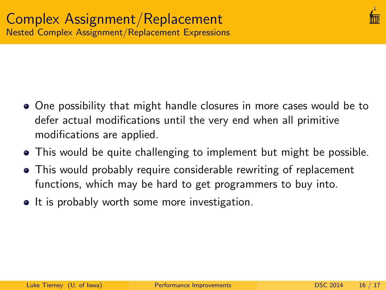

- One possibility that might handle closures in more cases would be to defer actual modifications until the very end when all primitive modifications are applied.
- This would be quite challenging to implement but might be possible.
- This would probably require considerable rewriting of replacement functions, which may be hard to get programmers to buy into.
- It is probably worth some more investigation.